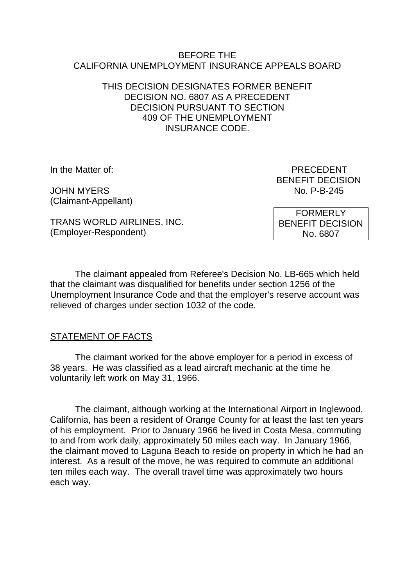#### BEFORE THE CALIFORNIA UNEMPLOYMENT INSURANCE APPEALS BOARD

## THIS DECISION DESIGNATES FORMER BENEFIT DECISION NO. 6807 AS A PRECEDENT DECISION PURSUANT TO SECTION 409 OF THE UNEMPLOYMENT INSURANCE CODE.

JOHN MYFRS No. P-B-245 (Claimant-Appellant)

In the Matter of: PRECEDENT BENEFIT DECISION

TRANS WORLD AIRLINES, INC. (Employer-Respondent)

FORMERLY BENEFIT DECISION No. 6807

The claimant appealed from Referee's Decision No. LB-665 which held that the claimant was disqualified for benefits under section 1256 of the Unemployment Insurance Code and that the employer's reserve account was relieved of charges under section 1032 of the code.

# STATEMENT OF FACTS

The claimant worked for the above employer for a period in excess of 38 years. He was classified as a lead aircraft mechanic at the time he voluntarily left work on May 31, 1966.

The claimant, although working at the International Airport in Inglewood, California, has been a resident of Orange County for at least the last ten years of his employment. Prior to January 1966 he lived in Costa Mesa, commuting to and from work daily, approximately 50 miles each way. In January 1966, the claimant moved to Laguna Beach to reside on property in which he had an interest. As a result of the move, he was required to commute an additional ten miles each way. The overall travel time was approximately two hours each way.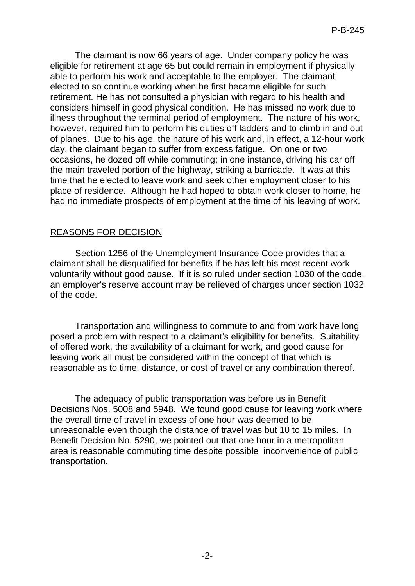The claimant is now 66 years of age. Under company policy he was eligible for retirement at age 65 but could remain in employment if physically able to perform his work and acceptable to the employer. The claimant elected to so continue working when he first became eligible for such retirement. He has not consulted a physician with regard to his health and considers himself in good physical condition. He has missed no work due to illness throughout the terminal period of employment. The nature of his work, however, required him to perform his duties off ladders and to climb in and out of planes. Due to his age, the nature of his work and, in effect, a 12-hour work day, the claimant began to suffer from excess fatigue. On one or two occasions, he dozed off while commuting; in one instance, driving his car off the main traveled portion of the highway, striking a barricade. It was at this time that he elected to leave work and seek other employment closer to his place of residence. Although he had hoped to obtain work closer to home, he had no immediate prospects of employment at the time of his leaving of work.

### REASONS FOR DECISION

Section 1256 of the Unemployment Insurance Code provides that a claimant shall be disqualified for benefits if he has left his most recent work voluntarily without good cause. If it is so ruled under section 1030 of the code, an employer's reserve account may be relieved of charges under section 1032 of the code.

Transportation and willingness to commute to and from work have long posed a problem with respect to a claimant's eligibility for benefits. Suitability of offered work, the availability of a claimant for work, and good cause for leaving work all must be considered within the concept of that which is reasonable as to time, distance, or cost of travel or any combination thereof.

The adequacy of public transportation was before us in Benefit Decisions Nos. 5008 and 5948. We found good cause for leaving work where the overall time of travel in excess of one hour was deemed to be unreasonable even though the distance of travel was but 10 to 15 miles. In Benefit Decision No. 5290, we pointed out that one hour in a metropolitan area is reasonable commuting time despite possible inconvenience of public transportation.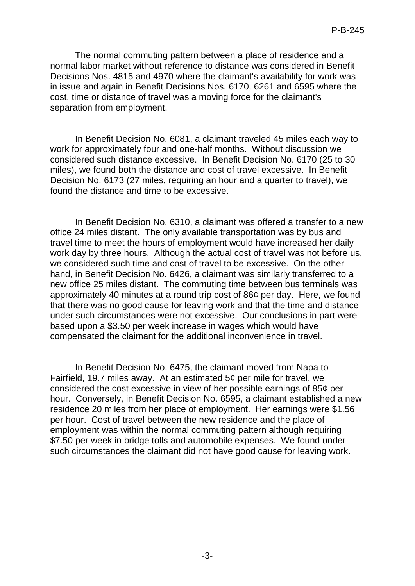The normal commuting pattern between a place of residence and a normal labor market without reference to distance was considered in Benefit Decisions Nos. 4815 and 4970 where the claimant's availability for work was in issue and again in Benefit Decisions Nos. 6170, 6261 and 6595 where the cost, time or distance of travel was a moving force for the claimant's separation from employment.

In Benefit Decision No. 6081, a claimant traveled 45 miles each way to work for approximately four and one-half months. Without discussion we considered such distance excessive. In Benefit Decision No. 6170 (25 to 30 miles), we found both the distance and cost of travel excessive. In Benefit Decision No. 6173 (27 miles, requiring an hour and a quarter to travel), we found the distance and time to be excessive.

In Benefit Decision No. 6310, a claimant was offered a transfer to a new office 24 miles distant. The only available transportation was by bus and travel time to meet the hours of employment would have increased her daily work day by three hours. Although the actual cost of travel was not before us, we considered such time and cost of travel to be excessive. On the other hand, in Benefit Decision No. 6426, a claimant was similarly transferred to a new office 25 miles distant. The commuting time between bus terminals was approximately 40 minutes at a round trip cost of 86¢ per day. Here, we found that there was no good cause for leaving work and that the time and distance under such circumstances were not excessive. Our conclusions in part were based upon a \$3.50 per week increase in wages which would have compensated the claimant for the additional inconvenience in travel.

In Benefit Decision No. 6475, the claimant moved from Napa to Fairfield, 19.7 miles away. At an estimated 5¢ per mile for travel, we considered the cost excessive in view of her possible earnings of 85¢ per hour. Conversely, in Benefit Decision No. 6595, a claimant established a new residence 20 miles from her place of employment. Her earnings were \$1.56 per hour. Cost of travel between the new residence and the place of employment was within the normal commuting pattern although requiring \$7.50 per week in bridge tolls and automobile expenses. We found under such circumstances the claimant did not have good cause for leaving work.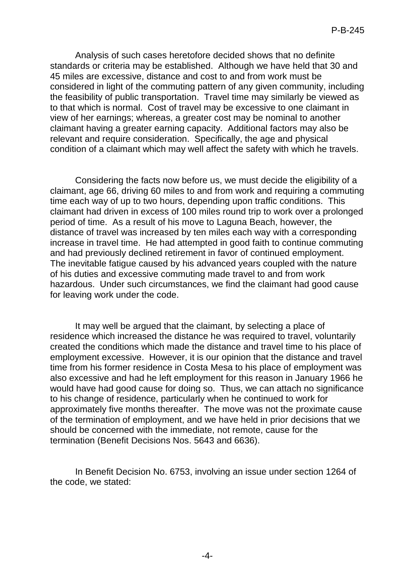Analysis of such cases heretofore decided shows that no definite standards or criteria may be established. Although we have held that 30 and 45 miles are excessive, distance and cost to and from work must be considered in light of the commuting pattern of any given community, including the feasibility of public transportation. Travel time may similarly be viewed as to that which is normal. Cost of travel may be excessive to one claimant in view of her earnings; whereas, a greater cost may be nominal to another claimant having a greater earning capacity. Additional factors may also be relevant and require consideration. Specifically, the age and physical condition of a claimant which may well affect the safety with which he travels.

Considering the facts now before us, we must decide the eligibility of a claimant, age 66, driving 60 miles to and from work and requiring a commuting time each way of up to two hours, depending upon traffic conditions. This claimant had driven in excess of 100 miles round trip to work over a prolonged period of time. As a result of his move to Laguna Beach, however, the distance of travel was increased by ten miles each way with a corresponding increase in travel time. He had attempted in good faith to continue commuting and had previously declined retirement in favor of continued employment. The inevitable fatigue caused by his advanced years coupled with the nature of his duties and excessive commuting made travel to and from work hazardous. Under such circumstances, we find the claimant had good cause for leaving work under the code.

It may well be argued that the claimant, by selecting a place of residence which increased the distance he was required to travel, voluntarily created the conditions which made the distance and travel time to his place of employment excessive. However, it is our opinion that the distance and travel time from his former residence in Costa Mesa to his place of employment was also excessive and had he left employment for this reason in January 1966 he would have had good cause for doing so. Thus, we can attach no significance to his change of residence, particularly when he continued to work for approximately five months thereafter. The move was not the proximate cause of the termination of employment, and we have held in prior decisions that we should be concerned with the immediate, not remote, cause for the termination (Benefit Decisions Nos. 5643 and 6636).

In Benefit Decision No. 6753, involving an issue under section 1264 of the code, we stated: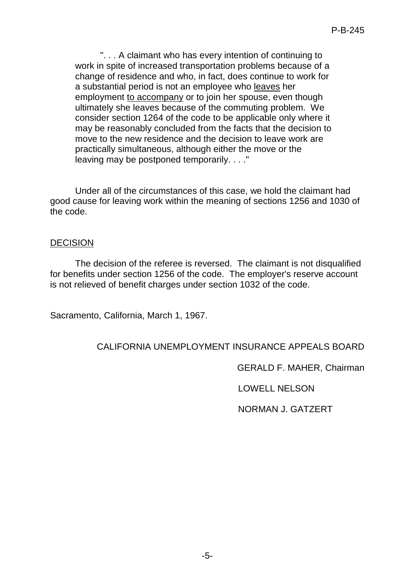". . . A claimant who has every intention of continuing to work in spite of increased transportation problems because of a change of residence and who, in fact, does continue to work for a substantial period is not an employee who leaves her employment to accompany or to join her spouse, even though ultimately she leaves because of the commuting problem. We consider section 1264 of the code to be applicable only where it may be reasonably concluded from the facts that the decision to move to the new residence and the decision to leave work are practically simultaneous, although either the move or the leaving may be postponed temporarily. . . ."

Under all of the circumstances of this case, we hold the claimant had good cause for leaving work within the meaning of sections 1256 and 1030 of the code.

### DECISION

The decision of the referee is reversed. The claimant is not disqualified for benefits under section 1256 of the code. The employer's reserve account is not relieved of benefit charges under section 1032 of the code.

Sacramento, California, March 1, 1967.

# CALIFORNIA UNEMPLOYMENT INSURANCE APPEALS BOARD

GERALD F. MAHER, Chairman

LOWELL NELSON

NORMAN J. GATZERT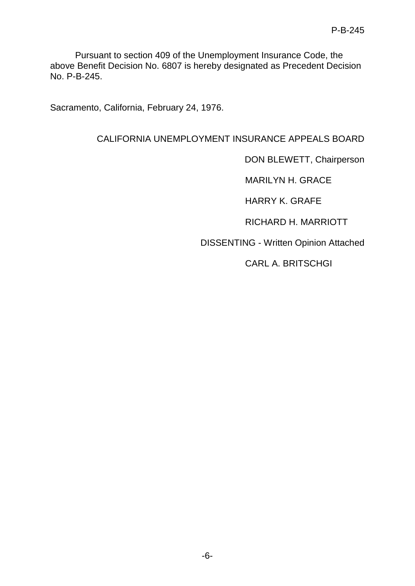Pursuant to section 409 of the Unemployment Insurance Code, the above Benefit Decision No. 6807 is hereby designated as Precedent Decision No. P-B-245.

Sacramento, California, February 24, 1976.

# CALIFORNIA UNEMPLOYMENT INSURANCE APPEALS BOARD

DON BLEWETT, Chairperson

MARILYN H. GRACE

HARRY K. GRAFE

RICHARD H. MARRIOTT

DISSENTING - Written Opinion Attached

CARL A. BRITSCHGI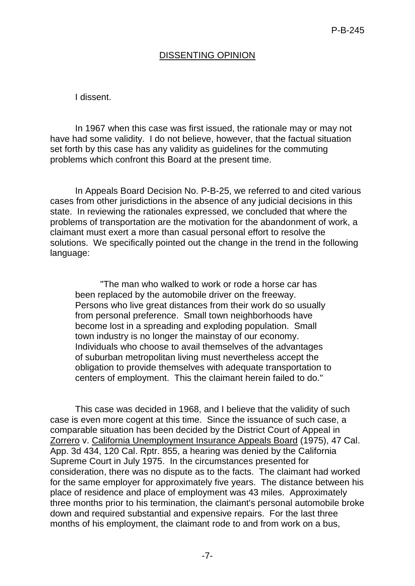## DISSENTING OPINION

#### I dissent.

In 1967 when this case was first issued, the rationale may or may not have had some validity. I do not believe, however, that the factual situation set forth by this case has any validity as guidelines for the commuting problems which confront this Board at the present time.

In Appeals Board Decision No. P-B-25, we referred to and cited various cases from other jurisdictions in the absence of any judicial decisions in this state. In reviewing the rationales expressed, we concluded that where the problems of transportation are the motivation for the abandonment of work, a claimant must exert a more than casual personal effort to resolve the solutions. We specifically pointed out the change in the trend in the following language:

"The man who walked to work or rode a horse car has been replaced by the automobile driver on the freeway. Persons who live great distances from their work do so usually from personal preference. Small town neighborhoods have become lost in a spreading and exploding population. Small town industry is no longer the mainstay of our economy. Individuals who choose to avail themselves of the advantages of suburban metropolitan living must nevertheless accept the obligation to provide themselves with adequate transportation to centers of employment. This the claimant herein failed to do."

This case was decided in 1968, and I believe that the validity of such case is even more cogent at this time. Since the issuance of such case, a comparable situation has been decided by the District Court of Appeal in Zorrero v. California Unemployment Insurance Appeals Board (1975), 47 Cal. App. 3d 434, 120 Cal. Rptr. 855, a hearing was denied by the California Supreme Court in July 1975. In the circumstances presented for consideration, there was no dispute as to the facts. The claimant had worked for the same employer for approximately five years. The distance between his place of residence and place of employment was 43 miles. Approximately three months prior to his termination, the claimant's personal automobile broke down and required substantial and expensive repairs. For the last three months of his employment, the claimant rode to and from work on a bus,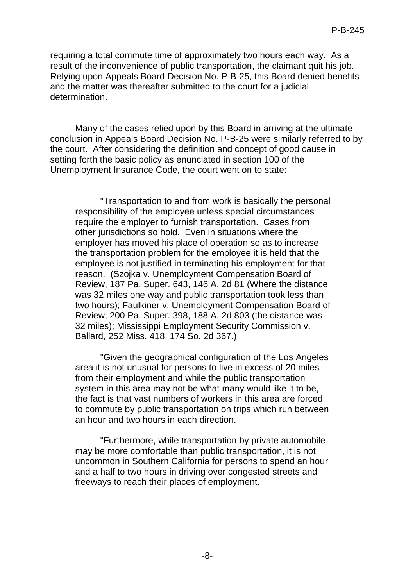requiring a total commute time of approximately two hours each way. As a result of the inconvenience of public transportation, the claimant quit his job. Relying upon Appeals Board Decision No. P-B-25, this Board denied benefits and the matter was thereafter submitted to the court for a judicial determination.

Many of the cases relied upon by this Board in arriving at the ultimate conclusion in Appeals Board Decision No. P-B-25 were similarly referred to by the court. After considering the definition and concept of good cause in setting forth the basic policy as enunciated in section 100 of the Unemployment Insurance Code, the court went on to state:

"Transportation to and from work is basically the personal responsibility of the employee unless special circumstances require the employer to furnish transportation. Cases from other jurisdictions so hold. Even in situations where the employer has moved his place of operation so as to increase the transportation problem for the employee it is held that the employee is not justified in terminating his employment for that reason. (Szojka v. Unemployment Compensation Board of Review, 187 Pa. Super. 643, 146 A. 2d 81 (Where the distance was 32 miles one way and public transportation took less than two hours); Faulkiner v. Unemployment Compensation Board of Review, 200 Pa. Super. 398, 188 A. 2d 803 (the distance was 32 miles); Mississippi Employment Security Commission v. Ballard, 252 Miss. 418, 174 So. 2d 367.)

"Given the geographical configuration of the Los Angeles area it is not unusual for persons to live in excess of 20 miles from their employment and while the public transportation system in this area may not be what many would like it to be, the fact is that vast numbers of workers in this area are forced to commute by public transportation on trips which run between an hour and two hours in each direction.

"Furthermore, while transportation by private automobile may be more comfortable than public transportation, it is not uncommon in Southern California for persons to spend an hour and a half to two hours in driving over congested streets and freeways to reach their places of employment.